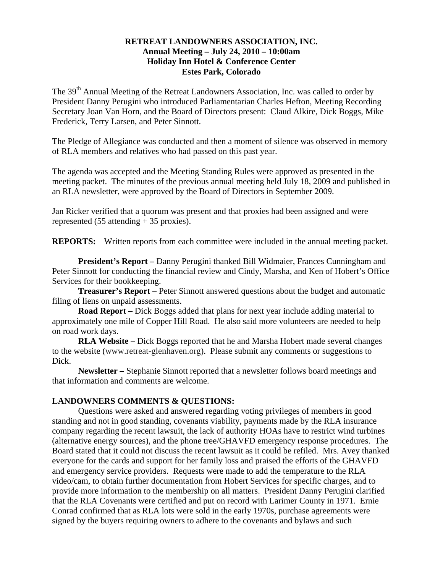## **RETREAT LANDOWNERS ASSOCIATION, INC. Annual Meeting – July 24, 2010 – 10:00am Holiday Inn Hotel & Conference Center Estes Park, Colorado**

The 39<sup>th</sup> Annual Meeting of the Retreat Landowners Association, Inc. was called to order by President Danny Perugini who introduced Parliamentarian Charles Hefton, Meeting Recording Secretary Joan Van Horn, and the Board of Directors present: Claud Alkire, Dick Boggs, Mike Frederick, Terry Larsen, and Peter Sinnott.

The Pledge of Allegiance was conducted and then a moment of silence was observed in memory of RLA members and relatives who had passed on this past year.

The agenda was accepted and the Meeting Standing Rules were approved as presented in the meeting packet. The minutes of the previous annual meeting held July 18, 2009 and published in an RLA newsletter, were approved by the Board of Directors in September 2009.

Jan Ricker verified that a quorum was present and that proxies had been assigned and were represented (55 attending + 35 proxies).

**REPORTS:** Written reports from each committee were included in the annual meeting packet.

 **President's Report –** Danny Perugini thanked Bill Widmaier, Frances Cunningham and Peter Sinnott for conducting the financial review and Cindy, Marsha, and Ken of Hobert's Office Services for their bookkeeping.

**Treasurer's Report –** Peter Sinnott answered questions about the budget and automatic filing of liens on unpaid assessments.

**Road Report –** Dick Boggs added that plans for next year include adding material to approximately one mile of Copper Hill Road. He also said more volunteers are needed to help on road work days.

**RLA Website –** Dick Boggs reported that he and Marsha Hobert made several changes to the website (www.retreat-glenhaven.org). Please submit any comments or suggestions to Dick.

**Newsletter –** Stephanie Sinnott reported that a newsletter follows board meetings and that information and comments are welcome.

## **LANDOWNERS COMMENTS & QUESTIONS:**

 Questions were asked and answered regarding voting privileges of members in good standing and not in good standing, covenants viability, payments made by the RLA insurance company regarding the recent lawsuit, the lack of authority HOAs have to restrict wind turbines (alternative energy sources), and the phone tree/GHAVFD emergency response procedures. The Board stated that it could not discuss the recent lawsuit as it could be refiled. Mrs. Avey thanked everyone for the cards and support for her family loss and praised the efforts of the GHAVFD and emergency service providers. Requests were made to add the temperature to the RLA video/cam, to obtain further documentation from Hobert Services for specific charges, and to provide more information to the membership on all matters. President Danny Perugini clarified that the RLA Covenants were certified and put on record with Larimer County in 1971. Ernie Conrad confirmed that as RLA lots were sold in the early 1970s, purchase agreements were signed by the buyers requiring owners to adhere to the covenants and bylaws and such